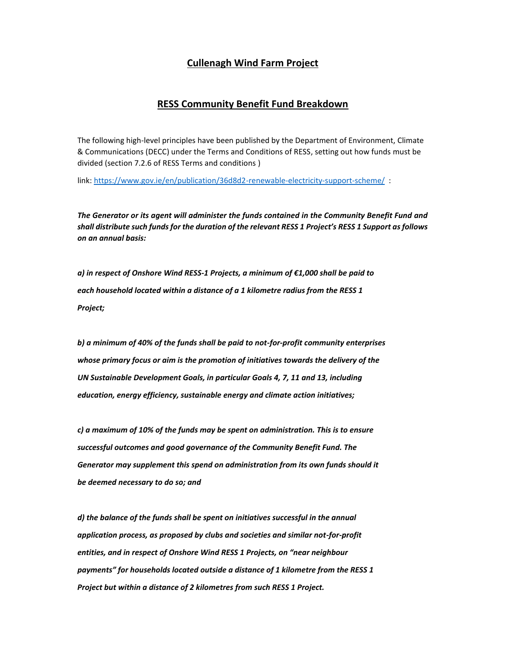## **Cullenagh Wind Farm Project**

## **RESS Community Benefit Fund Breakdown**

The following high-level principles have been published by the Department of Environment, Climate & Communications (DECC) under the Terms and Conditions of RESS, setting out how funds must be divided (section 7.2.6 of RESS Terms and conditions )

link: https://www.gov.ie/en/publication/36d8d2-renewable-electricity-support-scheme/ :

*The Generator or its agent will administer the funds contained in the Community Benefit Fund and shall distribute such funds for the duration of the relevant RESS 1 Project's RESS 1 Support as follows on an annual basis:*

*a) in respect of Onshore Wind RESS-1 Projects, a minimum of €1,000 shall be paid to each household located within a distance of a 1 kilometre radius from the RESS 1 Project;*

*b) a minimum of 40% of the funds shall be paid to not-for-profit community enterprises whose primary focus or aim is the promotion of initiatives towards the delivery of the UN Sustainable Development Goals, in particular Goals 4, 7, 11 and 13, including education, energy efficiency, sustainable energy and climate action initiatives;*

*c) a maximum of 10% of the funds may be spent on administration. This is to ensure successful outcomes and good governance of the Community Benefit Fund. The Generator may supplement this spend on administration from its own funds should it be deemed necessary to do so; and*

*d) the balance of the funds shall be spent on initiatives successful in the annual application process, as proposed by clubs and societies and similar not-for-profit entities, and in respect of Onshore Wind RESS 1 Projects, on "near neighbour payments" for households located outside a distance of 1 kilometre from the RESS 1 Project but within a distance of 2 kilometres from such RESS 1 Project.*